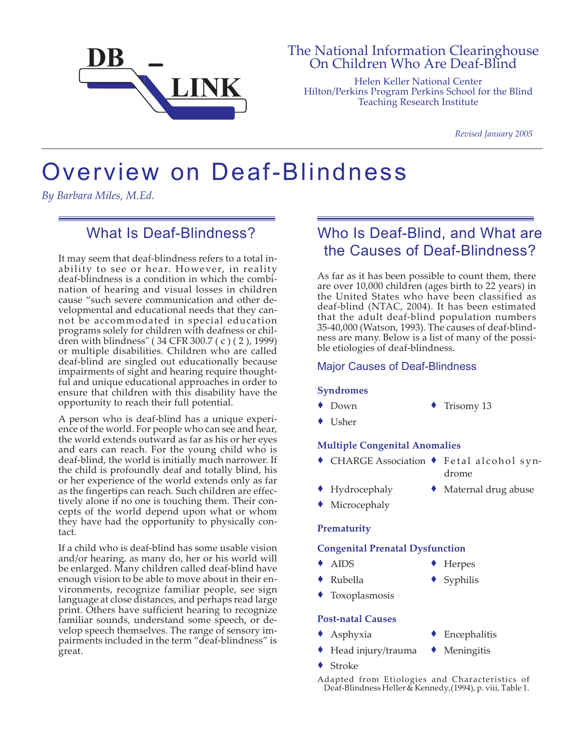

# The National Information Clearinghouse On Children Who Are Deaf-Blind

Helen Keller National Center Hilton/Perkins Program Perkins School for the Blind Teaching Research Institute

*Revised January 2005*

# Overview on Deaf-Blindness

*By Barbara Miles, M.Ed.*

# What Is Deaf-Blindness?

It may seem that deaf-blindness refers to a total inability to see or hear. However, in reality deaf-blindness is a condition in which the combination of hearing and visual losses in children cause "such severe communication and other developmental and educational needs that they cannot be accommodated in special education programs solely for children with deafness or children with blind ness" ( 34 CFR 300.7 ( c ) ( 2 ), 1999) or multiple disabilities. Children who are called deaf-blind are singled out educationally because impairments of sight and hearing require thoughtful and unique educational approaches in order to ensure that children with this disability have the opportunity to reach their full potential.

A person who is deaf-blind has a unique experience of the world. For people who can see and hear, the world extends outward as far as his or her eyes and ears can reach. For the young child who is deaf-blind, the world is initially much narrower. If the child is profoundly deaf and totally blind, his or her experience of the world extends only as far as the fingertips can reach. Such children are effectively alone if no one is touching them. Their concepts of the world depend upon what or whom they have had the opportunity to physically contact.

If a child who is deaf-blind has some usable vision and/or hearing, as many do, her or his world will be enlarged. Many children called deaf-blind have enough vision to be able to move about in their environments, recognize familiar people, see sign language at close distances, and perhaps read large print. Others have sufficient hearing to recognize familiar sounds, understand some speech, or develop speech themselves. The range of sensory impairments included in the term "deaf-blindness" is great.

# Who Is Deaf-Blind, and What are the Causes of Deaf-Blindness?

As far as it has been possible to count them, there are over 10,000 children (ages birth to 22 years) in the United States who have been classified as deaf-blind (NTAC, 2004). It has been estimated that the adult deaf-blind population numbers 35-40,000 (Watson, 1993). The causes of deaf-blindness are many. Below is a list of many of the possible etiologies of deaf-blindness.

# Major Causes of Deaf-Blindness

## **Syndromes**

- $\bullet$  Down  $\bullet$  Trisomy 13
- **Usher**

# **Multiple Congenital Anomalies**

- $\blacklozenge$  CHARGE Association  $\blacklozenge$  Fetal alcohol syndrome
- 
- $\leftrightarrow$  Hydrocephaly  $\leftrightarrow$  Maternal drug abuse
- $\blacklozenge$  Microcephaly

## **Prematurity**

## **Congenital Prenatal Dysfunction**

- $\triangle$  AIDS  $\triangle$  Herpes
	-
- $Rubella$   $\bullet$  Syphilis
- **Toxoplasmosis**

#### **Post-natal Causes**

- - Asphyxia  $\bullet$  Encephalitis
- $\blacklozenge$  Head injury/trauma  $\blacklozenge$  Meningitis
- $\blacklozenge$  Stroke

Adapted from Etiologies and Characteristics of Deaf-Blindness Heller & Kennedy, (1994), p. viii, Table 1.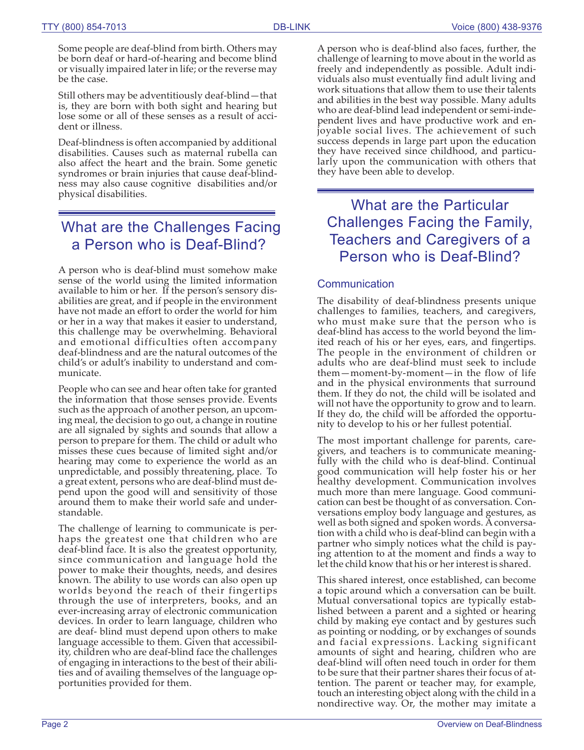Some people are deaf-blind from birth. Others may be born deaf or hard-of-hearing and become blind or visually impaired later in life; or the reverse may be the case.

Still others may be adventitiously deaf-blind—that is, they are born with both sight and hearing but lose some or all of these senses as a result of accident or illness.

Deaf-blindness is often accompanied by additional disabilities. Causes such as maternal rubella can also affect the heart and the brain. Some genetic syndromes or brain injuries that cause deaf-blindness may also cause cognitive disabilities and/or physical disabilities.

# What are the Challenges Facing a Person who is Deaf-Blind?

A person who is deaf-blind must somehow make sense of the world using the limited information available to him or her. If the person's sensory disabilities are great, and if people in the environment have not made an effort to order the world for him or her in a way that makes it easier to understand, this challenge may be overwhelming. Behavioral and emotional difficulties often accompany deaf-blindness and are the natural out comes of the child's or adult's inability to understand and communicate.

People who can see and hear often take for granted the information that those senses provide. Events such as the approach of another person, an upcoming meal, the decision to go out, a change in routine are all signaled by sights and sounds that allow a person to prepare for them. The child or adult who misses these cues because of limited sight and/or hearing may come to experience the world as an un predictable, and possibly threatening, place. To a great extent, persons who are deaf-blind must depend upon the good will and sensitivity of those around them to make their world safe and understandable.

The challenge of learning to communicate is perhaps the greatest one that children who are deaf-blind face. It is also the greatest opportunity, since communication and language hold the power to make their thoughts, needs, and desires known. The ability to use words can also open up worlds beyond the reach of their fingertips through the use of interpreters, books, and an ever-increasing array of electronic communication devices. In order to learn language, children who are deaf- blind must depend upon others to make language accessible to them. Given that accessibility, children who are deaf-blind face the challenges of engaging in interactions to the best of their abilities and of availing themselves of the language opportunities provided for them.

A person who is deaf-blind also faces, further, the challenge of learning to move about in the world as freely and independently as possible. Adult individuals also must eventually find adult living and work situations that allow them to use their talents and abilities in the best way possible. Many adults who are deaf-blind lead independent or semi-independent lives and have productive work and enjoyable social lives. The achievement of such success depends in large part upon the education they have received since childhood, and particularly upon the communication with others that they have been able to develop.

# What are the Particular Challenges Facing the Family, Teachers and Caregivers of a Person who is Deaf-Blind?

# **Communication**

The disability of deaf-blindness presents unique challenges to families, teachers, and caregivers, who must make sure that the person who is deaf-blind has access to the world beyond the limited reach of his or her eyes, ears, and fingertips. The people in the environment of children or adults who are deaf-blind must seek to include them-moment-by-moment-in the flow of life and in the physical environments that surround them. If they do not, the child will be isolated and will not have the opportunity to grow and to learn. If they do, the child will be afforded the opportunity to develop to his or her fullest potential.

The most important challenge for parents, caregivers, and teachers is to communicate meaningfully with the child who is deaf-blind. Continual good communication will help foster his or her healthy development. Communication involves much more than mere language. Good communication can best be thought of as conversation. Conversations employ body language and gestures, as well as both signed and spoken words. A conversation with a child who is deaf-blind can begin with a partner who simply notices what the child is paying attention to at the moment and finds a way to let the child know that his or her interest is shared.

This shared interest, once established, can become a topic around which a conversation can be built. Mutual conversational topics are typically established between a parent and a sighted or hearing child by making eye contact and by gestures such as pointing or nodding, or by exchanges of sounds and facial expressions. Lacking significant amounts of sight and hearing, children who are deaf-blind will often need touch in order for them to be sure that their partner shares their focus of attention. The parent or teacher may, for example, touch an interesting object along with the child in a nondirective way. Or, the mother may imitate a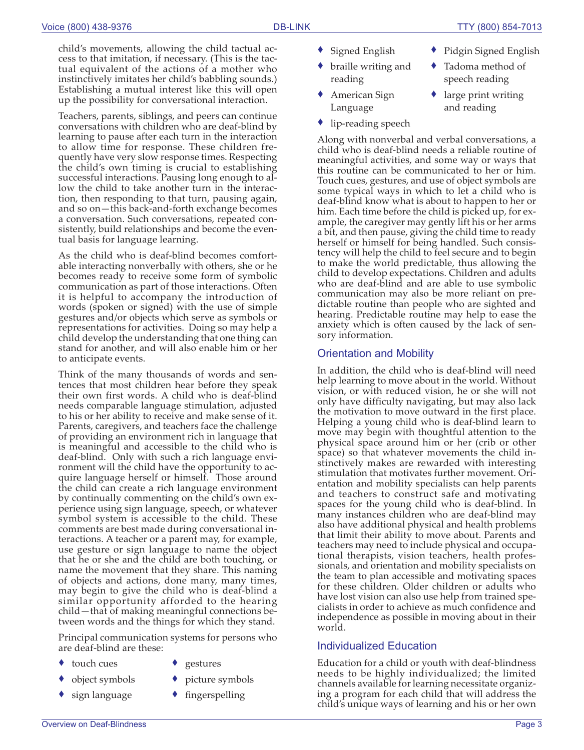Tadoma method of speech reading

 $\bullet$  large print writing and reading

child's movements, allowing the child tactual access to that imitation, if necessary. (This is the tactual equivalent of the actions of a mother who in stinctively imitates her child's babbling sounds.) Establishing a mutual interest like this will open up the possibility for conversational interaction.

Teachers, parents, siblings, and peers can continue conversations with children who are deaf-blind by learning to pause after each turn in the interaction to allow time for response. These children frequently have very slow response times. Respecting the child's own timing is crucial to establishing successful interactions. Pausing long enough to allow the child to take another turn in the interaction, then responding to that turn, pausing again, and so on—this back-and-forth ex change be comes a conversation. Such conversations, repeated consistently, build relationships and become the eventual basis for language learning.

As the child who is deaf-blind becomes comfortable interacting nonverbally with others, she or he becomes ready to receive some form of symbolic communication as part of those interactions. Often it is helpful to accompany the introduction of words (spoken or signed) with the use of simple gestures and/or objects which serve as symbols or representations for activities. Doing so may help a child develop the understanding that one thing can stand for another, and will also enable him or her to anticipate events.

Think of the many thousands of words and sentences that most children hear before they speak their own first words. A child who is deaf-blind needs comparable language stimulation, adjusted to his or her ability to receive and make sense of it. Parents, caregivers, and teachers face the challenge of providing an environment rich in language that is meaning ful and accessible to the child who is deaf-blind. Only with such a rich language environment will the child have the opportunity to acquire language herself or himself. Those around the child can create a rich language environment by continually commenting on the child's own experience using sign language, speech, or whatever symbol system is accessible to the child. These comments are best made during conversational inter actions. A teacher or a parent may, for example, use gesture or sign language to name the object that he or she and the child are both touching, or name the movement that they share. This naming of objects and actions, done many, many times, may begin to give the child who is deaf-blind a similar opportunity afforded to the hearing child—that of making meaning ful connections between words and the things for which they stand.

Principal communication systems for persons who are deaf-blind are these:

- - touch cues  $\bullet$  gestures
- -
- $\theta$  object symbols  $\qquad \qquad \bullet$  picture symbols
	- sign language  $\bullet$  fingerspelling
- ◆ Signed English → Pidgin Signed English
- $\bullet$  braille writing and reading
- American Sign Language
- $\bullet$  lip-reading speech

Along with nonverbal and verbal conversations, a child who is deaf-blind needs a reliable routine of meaning ful activities, and some way or ways that this routine can be communicated to her or him. Touch cues, gestures, and use of object symbols are some typical ways in which to let a child who is deaf-blind know what is about to happen to her or him. Each time before the child is picked up, for example, the caregiver may gently lift his or her arms a bit, and then pause, giving the child time to ready herself or himself for being handled. Such consistency will help the child to feel secure and to begin to make the world predictable, thus allowing the child to develop expectations. Children and adults who are deaf-blind and are able to use symbolic communication may also be more reliant on predictable routine than people who are sighted and hearing. Predictable routine may help to ease the anxiety which is often caused by the lack of sensory information.

# Orientation and Mobility

In addition, the child who is deaf-blind will need help learning to move about in the world. Without vision, or with reduced vision, he or she will not only have difficulty navigating, but may also lack the motivation to move outward in the first place. Helping a young child who is deaf-blind learn to move may begin with thoughtful attention to the physical space around him or her (crib or other space) so that whatever movements the child instinctively makes are rewarded with interesting stimulation that motivates further movement. Orientation and mobility specialists can help parents and teachers to construct safe and motivating spaces for the young child who is deaf-blind. In many instances children who are deaf-blind may also have additional physical and health problems that limit their ability to move about. Parents and teachers may need to include physical and occupational therapists, vision teachers, health professionals, and orientation and mobility specialists on the team to plan accessible and motivating spaces for these children. Older children or adults who have lost vision can also use help from trained specialists in order to achieve as much confidence and independence as possible in moving about in their world.

# Individualized Education

Education for a child or youth with deaf-blindness needs to be highly individualized; the limited channels available for learning necessitate organizing a program for each child that will address the child's unique ways of learning and his or her own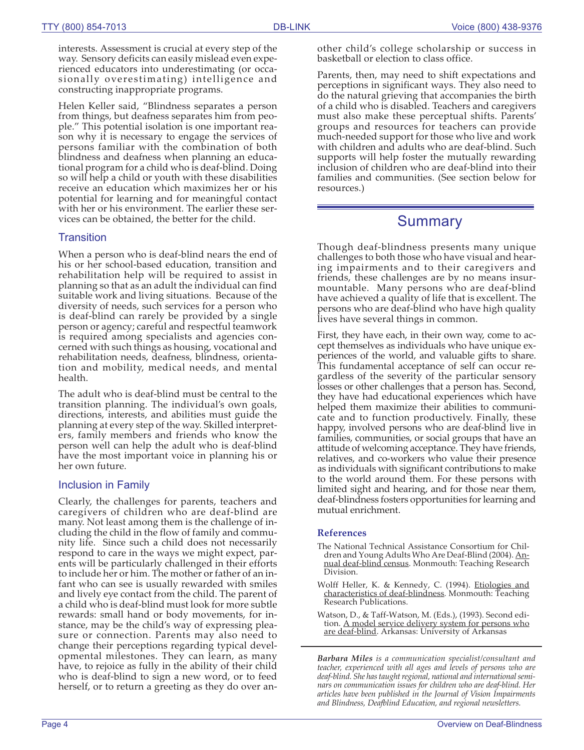interests. Assessment is crucial at every step of the way. Sensory deficits can easily mislead even experienced educators into underestimating (or occasionally overestimating) intelligence and constructing inappropriate programs.

Helen Keller said, "Blindness separates a person from things, but deafness separates him from people." This potential isolation is one important reason why it is necessary to engage the services of persons familiar with the combination of both blindness and deafness when planning an educational program for a child who is deaf-blind. Doing so will help a child or youth with these disabilities receive an education which maximizes her or his potential for learning and for meaning ful contact with her or his environment. The earlier these services can be obtained, the better for the child.

# **Transition**

When a person who is deaf-blind nears the end of his or her school-based education, transition and rehabilitation help will be required to assist in planning so that as an adult the individual can find suitable work and living situations. Because of the diversity of needs, such services for a person who is deaf-blind can rarely be provided by a single person or agency; careful and respectful teamwork is required among specialists and agencies concerned with such things as housing, vocational and rehabilitation needs, deafness, blindness, orientation and mobility, medical needs, and mental health.

The adult who is deaf-blind must be central to the transition planning. The individual's own goals, directions, interests, and abilities must guide the planning at every step of the way. Skilled interpreters, fam ily members and friends who know the person well can help the adult who is deaf-blind have the most important voice in planning his or her own future.

## Inclusion in Family

Clearly, the challenges for parents, teachers and caregivers of children who are deaf-blind are many. Not least among them is the challenge of including the child in the flow of family and community life. Since such a child does not necessarily respond to care in the ways we might expect, parents will be particularly challenged in their efforts to include her or him. The mother or father of an infant who can see is usually rewarded with smiles and lively eye contact from the child. The parent of a child who is deaf-blind must look for more subtle rewards: small hand or body movements, for instance, may be the child's way of expressing pleasure or connection. Parents may also need to change their perceptions regarding typical developmental milestones. They can learn, as many have, to rejoice as fully in the ability of their child who is deaf-blind to sign a new word, or to feed herself, or to return a greeting as they do over another child's college scholarship or success in basket ball or election to class office.

Parents, then, may need to shift expectations and perceptions in significant ways. They also need to do the natural grieving that accompanies the birth of a child who is disabled. Teachers and caregivers must also make these perceptual shifts. Parents' groups and resources for teachers can provide much-needed support for those who live and work with children and adults who are deaf-blind. Such supports will help foster the mutually rewarding inclusion of children who are deaf-blind into their families and communities. (See section below for resources.)

# Summary

Though deaf-blindness presents many unique challenges to both those who have visual and hearing impairments and to their caregivers and friends, these challenges are by no means insurmountable. Many persons who are deaf-blind have achieved a quality of life that is excellent. The persons who are deaf-blind who have high quality lives have several things in common.

First, they have each, in their own way, come to accept themselves as individuals who have unique experiences of the world, and valuable gifts to share. This fundamental acceptance of self can occur regard less of the severity of the particular sensory losses or other challenges that a person has. Second, they have had educational experiences which have helped them maximize their abilities to communicate and to function productively. Finally, these happy, involved persons who are deaf-blind live in families, communities, or social groups that have an attitude of welcoming acceptance. They have friends, relatives, and co-workers who value their presence as individuals with significant contributions to make to the world around them. For these persons with limited sight and hearing, and for those near them, deaf-blindness fosters opportunities for learning and mutual enrichment.

#### **References**

- The National Technical Assistance Consortium for Children and Young Adults Who Are Deaf-Blind (2004). Annual deaf-blind census. Monmouth: Teaching Research Division.
- Wolff Heller, K. & Kennedy, C. (1994). Etiologies and characteristics of deaf-blindness. Monmouth: Teaching Research Publications.
- Watson, D., & Taff-Watson, M. (Eds.), (1993). Second edition. A model service delivery system for persons who are deaf-blind. Arkansas: University of Arkansas

*Barbara Miles is a communication specialist/consultant and* teacher, experienced with all ages and levels of persons who are *deaf-blind. She has taught re gional, na tional and in terna tional sem i nars on com mu ni ca tion is sues for chil dren who are deaf-blind. Her ar ti cles have been pub lished in the Jour nal of Vi sion Im pair ments* and Blindness, Deafblind Education, and regional newsletters.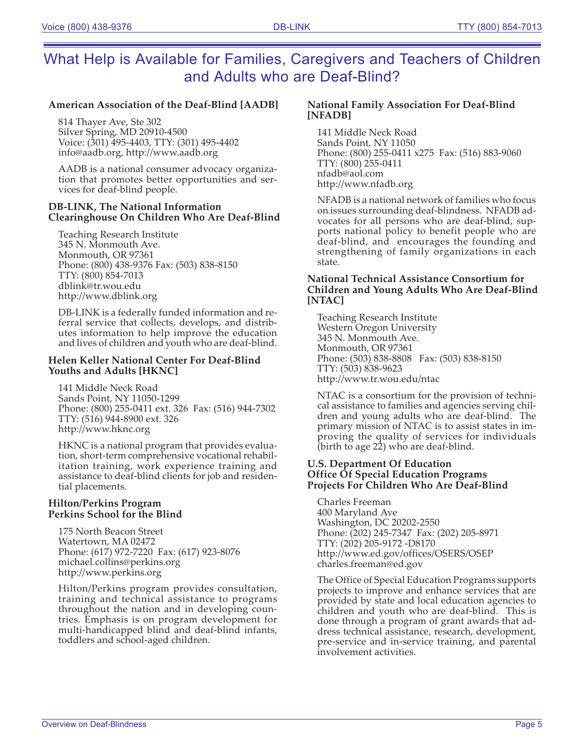# What Help is Available for Families, Caregivers and Teachers of Children and Adults who are Deaf-Blind?

### **American Association of the Deaf-Blind [AADB]**

814 Thayer Ave, Ste 302 Silver Spring, MD 20910-4500 Voice: (301) 495-4403, TTY: (301) 495-4402 info@aadb.org, http://www.aadb.org

AADB is a national consumer advocacy organization that promotes better opportunities and services for deaf-blind people.

#### **DB-LINK, The National Information Clearinghouse On Children Who Are Deaf-Blind**

Teaching Research Institute 345 N. Monmouth Ave. Monmouth, OR 97361 Phone: (800) 438-9376 Fax: (503) 838-8150 TTY: (800) 854-7013 dblink@tr.wou.edu http://www.dblink.org

DB-LINK is a federally funded information and referral service that collects, develops, and distributes information to help improve the education and lives of children and youth who are deaf-blind.

#### **Helen Keller National Center For Deaf-Blind Youths and Adults [HKNC]**

141 Middle Neck Road Sands Point, NY 11050-1299 Phone: (800) 255-0411 ext. 326 Fax: (516) 944-7302 TTY: (516) 944-8900 ext. 326 http://www.hknc.org

HKNC is a national program that provides evaluation, short-term comprehensive vocational rehabilitation training, work experience training and assistance to deaf-blind clients for job and residential placements.

#### **Hilton/Perkins Program Perkins School for the Blind**

175 North Beacon Street Watertown, MA 02472 Phone: (617) 972-7220 Fax: (617) 923-8076 michael.collins@perkins.org http://www.perkins.org

Hilton/Perkins program provides consultation, training and technical assistance to programs throughout the nation and in developing countries. Emphasis is on program development for multi-handicapped blind and deaf-blind infants, tod dlers and school-aged children.

## **National Family Association For Deaf-Blind [NFADB]**

141 Middle Neck Road Sands Point, NY 11050 Phone: (800) 255-0411 x275 Fax: (516) 883-9060 TTY: (800) 255-0411 nfadb@aol.com http://www.nfadb.org

NFADB is a national network of families who focus on issues surrounding deaf-blindness. NFADB advocates for all persons who are deaf-blind, supports national policy to benefit people who are deaf-blind, and encourages the founding and strengthening of family organizations in each state.

#### **National Technical Assistance Consortium for Children and Young Adults Who Are Deaf-Blind [NTAC]**

Teaching Research Institute Western Oregon University 345 N. Monmouth Ave. Monmouth, OR 97361 Phone: (503) 838-8808 Fax: (503) 838-8150 TTY: (503) 838-9623 http://www.tr.wou.edu/ntac

NTAC is a consortium for the provision of technical assistance to families and agencies serving children and young adults who are deaf-blind. The primary mission of NTAC is to assist states in improving the quality of services for individuals (birth to age 22) who are deaf-blind.

#### **U.S. Department Of Education Office Of Special Education Programs Projects For Children Who Are Deaf-Blind**

Charles Freeman 400 Maryland Ave Washington, DC 20202-2550 Phone: (202) 245-7347 Fax: (202) 205-8971 TTY: (202) 205-9172 -D8170 http://www.ed.gov/offices/OSERS/OSEP charles.freeman@ed.gov

The Office of Special Education Programs supports projects to improve and enhance services that are provided by state and local education agencies to children and youth who are deaf-blind. This is done through a program of grant awards that address technical assistance, research, development, pre-service and in-service training, and parental involvement activities.